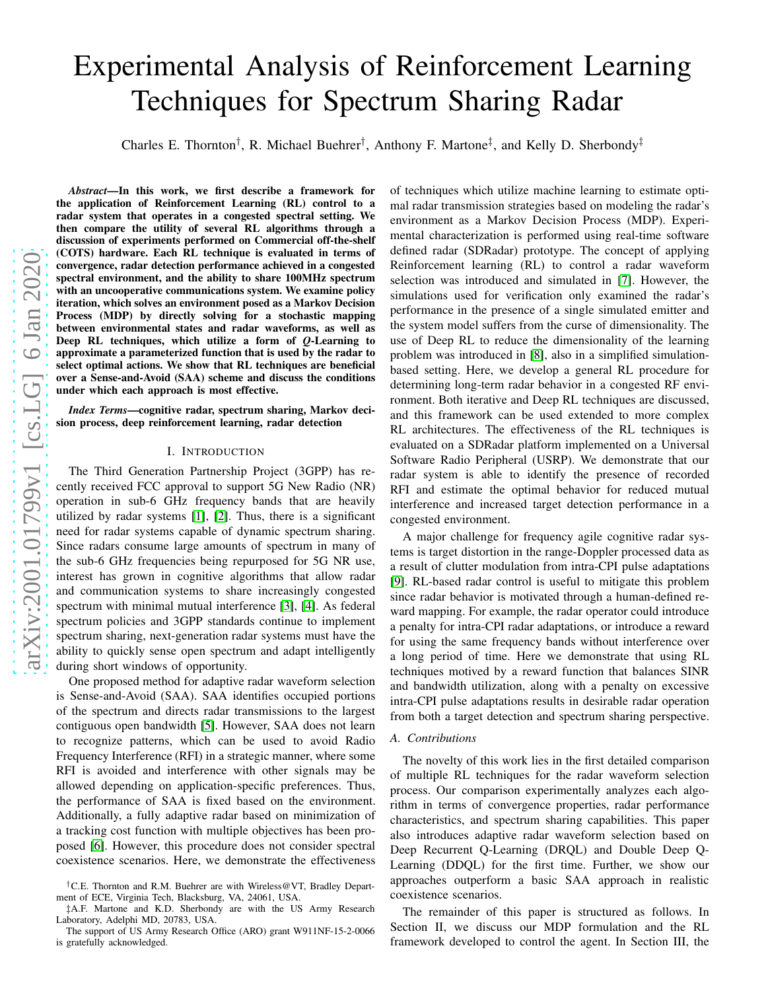# Experimental Analysis of Reinforcement Learning Techniques for Spectrum Sharing Radar

Charles E. Thornton<sup>†</sup>, R. Michael Buehrer<sup>†</sup>, Anthony F. Martone<sup>‡</sup>, and Kelly D. Sherbondy<sup>‡</sup>

*Abstract*—In this work, we first describe a framework for the application of Reinforcement Learning (RL) control to a radar system that operates in a congested spectral setting. We then compare the utility of several RL algorithms through a discussion of experiments performed on Commercial off-the-shelf (COTS) hardware. Each RL technique is evaluated in terms of convergence, radar detection performance achieved in a congested spectral environment, and the ability to share 100MHz spectrum with an uncooperative communications system. We examine policy iteration, which solves an environment posed as a Markov Decision Process (MDP) by directly solving for a stochastic mapping between environmental states and radar waveforms, as well a s Deep RL techniques, which utilize a form of *Q*-Learning to approximate a parameterized function that is used by the radar to select optimal actions. We show that RL techniques are beneficial over a Sense-and-Avoid (SAA) scheme and discuss the conditions under which each approach is most effective.

*Index Terms*—cognitive radar, spectrum sharing, Markov decision process, deep reinforcement learning, radar detection

#### I. INTRODUCTION

The Third Generation Partnership Project (3GPP) has recently received FCC approval to support 5G New Radio (NR) operation in sub-6 GHz frequency bands that are heavily utilized by radar systems [\[1\]](#page-5-0), [\[2\]](#page-5-1). Thus, there is a significant need for radar systems capable of dynamic spectrum sharing. Since radars consume large amounts of spectrum in many of the sub-6 GHz frequencies being repurposed for 5G NR use, interest has grown in cognitive algorithms that allow radar and communication systems to share increasingly congested spectrum with minimal mutual interference [\[3\]](#page-5-2), [\[4\]](#page-5-3). As federal spectrum policies and 3GPP standards continue to implement spectrum sharing, next-generation radar systems must have the ability to quickly sense open spectrum and adapt intelligently during short windows of opportunity.

One proposed method for adaptive radar waveform selection is Sense-and-Avoid (SAA). SAA identifies occupied portions of the spectrum and directs radar transmissions to the largest contiguous open bandwidth [\[5\]](#page-5-4). However, SAA does not learn to recognize patterns, which can be used to avoid Radio Frequency Interference (RFI) in a strategic manner, where some RFI is avoided and interference with other signals may be allowed depending on application-specific preferences. Thus, the performance of SAA is fixed based on the environment. Additionally, a fully adaptive radar based on minimization of a tracking cost function with multiple objectives has been proposed [\[6\]](#page-5-5). However, this procedure does not consider spectral coexistence scenarios. Here, we demonstrate the effectiveness

of techniques which utilize machine learning to estimate optimal radar transmission strategies based on modeling the radar's environment as a Markov Decision Process (MDP). Experimental characterization is performed using real-time software defined radar (SDRadar) prototype. The concept of applying Reinforcement learning (RL) to control a radar waveform selection was introduced and simulated in [\[7\]](#page-5-6). However, the simulations used for verification only examined the radar's performance in the presence of a single simulated emitter an d the system model suffers from the curse of dimensionality. The use of Deep RL to reduce the dimensionality of the learning problem was introduced in [\[8\]](#page-5-7), also in a simplified simulationbased setting. Here, we develop a general RL procedure for determining long-term radar behavior in a congested RF envi ronment. Both iterative and Deep RL techniques are discussed, and this framework can be used extended to more complex RL architectures. The effectiveness of the RL techniques is evaluated on a SDRadar platform implemented on a Universal Software Radio Peripheral (USRP). We demonstrate that our radar system is able to identify the presence of recorded RFI and estimate the optimal behavior for reduced mutual interference and increased target detection performance in a congested environment.

A major challenge for frequency agile cognitive radar systems is target distortion in the range-Doppler processed data as a result of clutter modulation from intra-CPI pulse adaptations [\[9\]](#page-5-8). RL-based radar control is useful to mitigate this problem since radar behavior is motivated through a human-defined reward mapping. For example, the radar operator could introduce a penalty for intra-CPI radar adaptations, or introduce a reward for using the same frequency bands without interference over a long period of time. Here we demonstrate that using RL techniques motived by a reward function that balances SINR and bandwidth utilization, along with a penalty on excessiv e intra-CPI pulse adaptations results in desirable radar operation from both a target detection and spectrum sharing perspective.

#### *A. Contributions*

The novelty of this work lies in the first detailed comparison of multiple RL techniques for the radar waveform selection process. Our comparison experimentally analyzes each algo rithm in terms of convergence properties, radar performanc e characteristics, and spectrum sharing capabilities. This paper also introduces adaptive radar waveform selection based on Deep Recurrent Q-Learning (DRQL) and Double Deep Q-Learning (DDQL) for the first time. Further, we show our approaches outperform a basic SAA approach in realistic coexistence scenarios.

The remainder of this paper is structured as follows. In Section II, we discuss our MDP formulation and the RL framework developed to control the agent. In Section III, th e

<sup>†</sup>C.E. Thornton and R.M. Buehrer are with Wireless@VT, Bradley Department of ECE, Virginia Tech, Blacksburg, VA, 24061, USA.

<sup>‡</sup>A.F. Martone and K.D. Sherbondy are with the US Army Research Laboratory, Adelphi MD, 20783, USA.

The support of US Army Research Office (ARO) grant W911NF-15-2-0066 is gratefully acknowledged.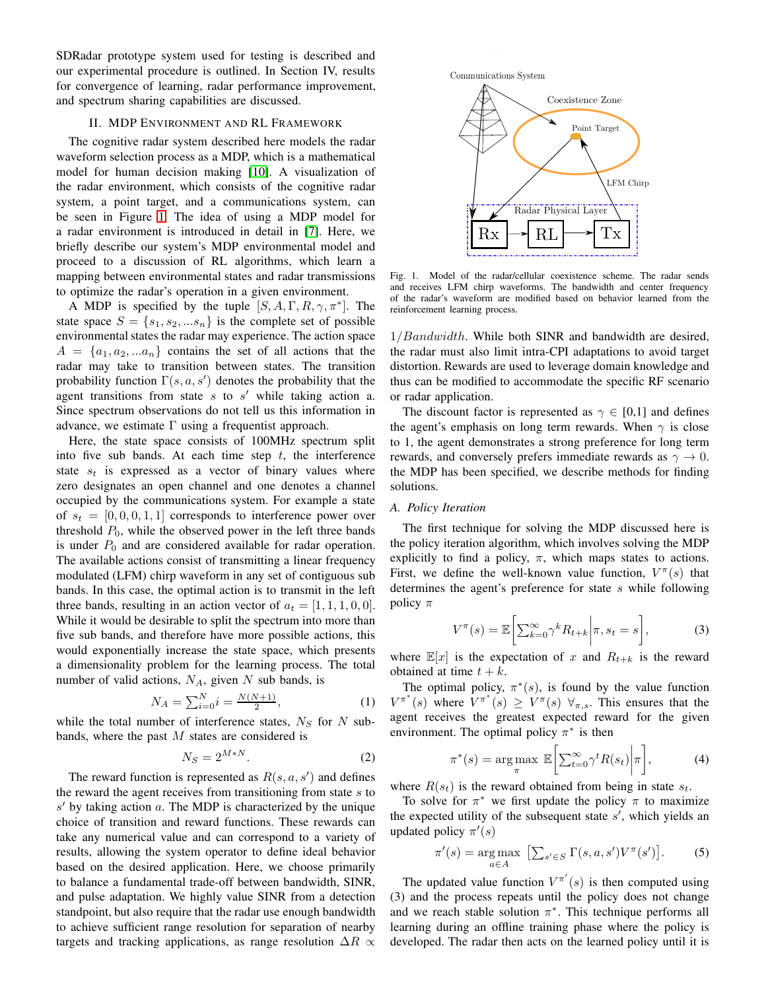SDRadar prototype system used for testing is described and our experimental procedure is outlined. In Section IV, results for convergence of learning, radar performance improvement, and spectrum sharing capabilities are discussed.

#### II. MDP ENVIRONMENT AND RL FRAMEWORK

The cognitive radar system described here models the radar waveform selection process as a MDP, which is a mathematical model for human decision making [\[10\]](#page-5-9). A visualization of the radar environment, which consists of the cognitive radar system, a point target, and a communications system, can be seen in Figure [1.](#page-1-0) The idea of using a MDP model for a radar environment is introduced in detail in [\[7\]](#page-5-6). Here, we briefly describe our system's MDP environmental model and proceed to a discussion of RL algorithms, which learn a mapping between environmental states and radar transmissions to optimize the radar's operation in a given environment.

A MDP is specified by the tuple  $[S, A, \Gamma, R, \gamma, \pi^*]$ . The state space  $S = \{s_1, s_2, \dots s_n\}$  is the complete set of possible environmental states the radar may experience. The action space  $A = \{a_1, a_2, \ldots a_n\}$  contains the set of all actions that the radar may take to transition between states. The transition probability function  $\Gamma(s, a, s')$  denotes the probability that the agent transitions from state  $s$  to  $s'$  while taking action a. Since spectrum observations do not tell us this information in advance, we estimate  $\Gamma$  using a frequentist approach.

Here, the state space consists of 100MHz spectrum split into five sub bands. At each time step  $t$ , the interference state  $s_t$  is expressed as a vector of binary values where zero designates an open channel and one denotes a channel occupied by the communications system. For example a state of  $s_t = [0, 0, 0, 1, 1]$  corresponds to interference power over threshold  $P_0$ , while the observed power in the left three bands is under  $P_0$  and are considered available for radar operation. The available actions consist of transmitting a linear frequency modulated (LFM) chirp waveform in any set of contiguous sub bands. In this case, the optimal action is to transmit in the left three bands, resulting in an action vector of  $a_t = [1, 1, 1, 0, 0]$ . While it would be desirable to split the spectrum into more than five sub bands, and therefore have more possible actions, this would exponentially increase the state space, which presents a dimensionality problem for the learning process. The total number of valid actions,  $N_A$ , given N sub bands, is

$$
N_A = \sum_{i=0}^{N} i = \frac{N(N+1)}{2},\tag{1}
$$

while the total number of interference states,  $N<sub>S</sub>$  for N subbands, where the past  $M$  states are considered is

$$
N_S = 2^{M*N}.\tag{2}
$$

The reward function is represented as  $R(s, a, s')$  and defines the reward the agent receives from transitioning from state  $s$  to  $s'$  by taking action  $a$ . The MDP is characterized by the unique choice of transition and reward functions. These rewards can take any numerical value and can correspond to a variety of results, allowing the system operator to define ideal behavior based on the desired application. Here, we choose primarily to balance a fundamental trade-off between bandwidth, SINR, and pulse adaptation. We highly value SINR from a detection standpoint, but also require that the radar use enough bandwidth to achieve sufficient range resolution for separation of nearby targets and tracking applications, as range resolution  $\Delta R \propto$ 



<span id="page-1-0"></span>Fig. 1. Model of the radar/cellular coexistence scheme. The radar sends and receives LFM chirp waveforms. The bandwidth and center frequency of the radar's waveform are modified based on behavior learned from the reinforcement learning process.

1/Bandwidth. While both SINR and bandwidth are desired, the radar must also limit intra-CPI adaptations to avoid target distortion. Rewards are used to leverage domain knowledge and thus can be modified to accommodate the specific RF scenario or radar application.

The discount factor is represented as  $\gamma \in [0,1]$  and defines the agent's emphasis on long term rewards. When  $\gamma$  is close to 1, the agent demonstrates a strong preference for long term rewards, and conversely prefers immediate rewards as  $\gamma \to 0$ . the MDP has been specified, we describe methods for finding solutions.

#### *A. Policy Iteration*

The first technique for solving the MDP discussed here is the policy iteration algorithm, which involves solving the MDP explicitly to find a policy,  $\pi$ , which maps states to actions. First, we define the well-known value function,  $V^{\pi}(s)$  that determines the agent's preference for state  $s$  while following policy  $\pi$ 

$$
V^{\pi}(s) = \mathbb{E}\bigg[\sum_{k=0}^{\infty} \gamma^k R_{t+k} \bigg| \pi, s_t = s\bigg],\tag{3}
$$

where  $\mathbb{E}[x]$  is the expectation of x and  $R_{t+k}$  is the reward obtained at time  $t + k$ .

The optimal policy,  $\pi^*(s)$ , is found by the value function  $V^{\pi^*}(s)$  where  $V^{\pi^*}(s) \geq V^{\pi}(s) \ \forall_{\pi,s}$ . This ensures that the agent receives the greatest expected reward for the given environment. The optimal policy  $\pi^*$  is then

$$
\pi^*(s) = \underset{\pi}{\arg\max} \ \mathbb{E}\bigg[\sum_{t=0}^{\infty} \gamma^t R(s_t) \bigg| \pi\bigg],\tag{4}
$$

where  $R(s_t)$  is the reward obtained from being in state  $s_t$ .

To solve for  $\pi^*$  we first update the policy  $\pi$  to maximize the expected utility of the subsequent state  $s'$ , which yields an updated policy  $\pi'(s)$ 

$$
\pi'(s) = \underset{a \in A}{\arg \max} \left[ \sum_{s' \in S} \Gamma(s, a, s') V^{\pi}(s') \right]. \tag{5}
$$

The updated value function  $V^{\pi'}(s)$  is then computed using (3) and the process repeats until the policy does not change and we reach stable solution  $\pi^*$ . This technique performs all learning during an offline training phase where the policy is developed. The radar then acts on the learned policy until it is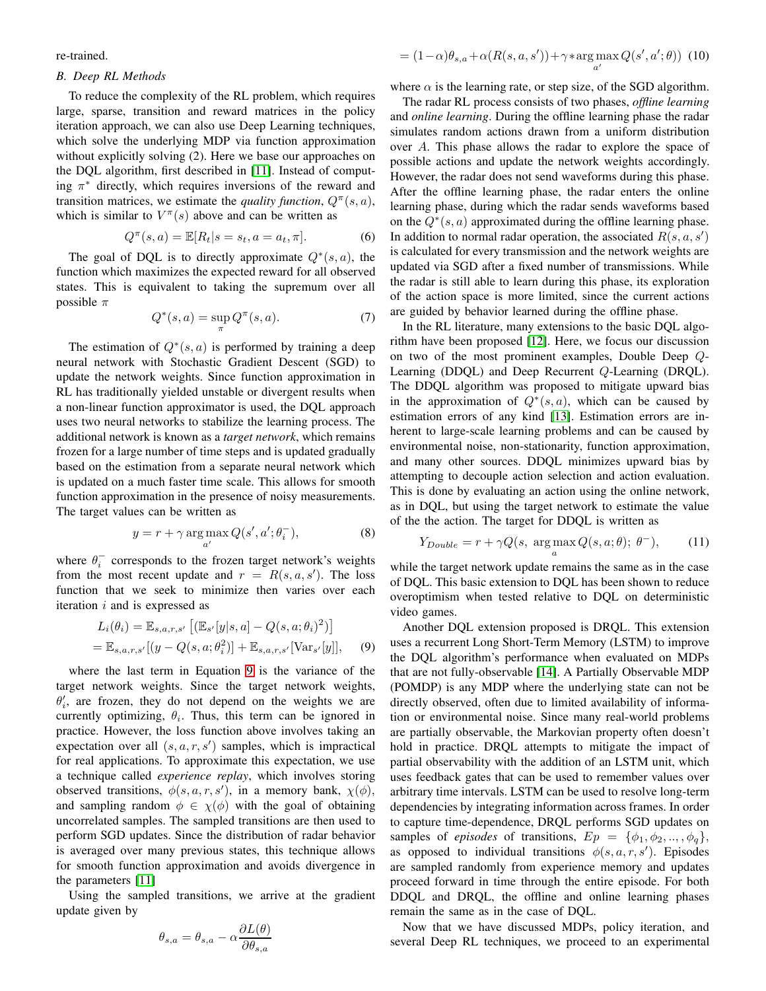re-trained.

# *B. Deep RL Methods*

To reduce the complexity of the RL problem, which requires large, sparse, transition and reward matrices in the policy iteration approach, we can also use Deep Learning techniques, which solve the underlying MDP via function approximation without explicitly solving (2). Here we base our approaches on the DQL algorithm, first described in [\[11\]](#page-5-10). Instead of computing  $\pi^*$  directly, which requires inversions of the reward and transition matrices, we estimate the *quality function*,  $Q^{\pi}(s, a)$ , which is similar to  $V^{\pi}(s)$  above and can be written as

$$
Q^{\pi}(s, a) = \mathbb{E}[R_t | s = s_t, a = a_t, \pi].
$$
 (6)

The goal of DQL is to directly approximate  $Q^*(s, a)$ , the function which maximizes the expected reward for all observed states. This is equivalent to taking the supremum over all possible  $\pi$ 

$$
Q^*(s, a) = \sup_{\pi} Q^{\pi}(s, a). \tag{7}
$$

The estimation of  $Q^*(s, a)$  is performed by training a deep neural network with Stochastic Gradient Descent (SGD) to update the network weights. Since function approximation in RL has traditionally yielded unstable or divergent results when a non-linear function approximator is used, the DQL approach uses two neural networks to stabilize the learning process. The additional network is known as a *target network*, which remains frozen for a large number of time steps and is updated gradually based on the estimation from a separate neural network which is updated on a much faster time scale. This allows for smooth function approximation in the presence of noisy measurements. The target values can be written as

$$
y = r + \gamma \arg \max_{a'} Q(s', a'; \theta_i^-), \tag{8}
$$

where  $\theta_i^-$  corresponds to the frozen target network's weights from the most recent update and  $r = R(s, a, s')$ . The loss function that we seek to minimize then varies over each iteration  $i$  and is expressed as

<span id="page-2-0"></span>
$$
L_i(\theta_i) = \mathbb{E}_{s,a,r,s'} [( \mathbb{E}_{s'}[y|s,a] - Q(s,a;\theta_i)^2 ) ]
$$
  
=  $\mathbb{E}_{s,a,r,s'} [(y - Q(s,a;\theta_i^2)] + \mathbb{E}_{s,a,r,s'} [\text{Var}_{s'}[y]],$  (9)

where the last term in Equation [9](#page-2-0) is the variance of the target network weights. Since the target network weights,  $\theta_i'$ , are frozen, they do not depend on the weights we are currently optimizing,  $\theta_i$ . Thus, this term can be ignored in practice. However, the loss function above involves taking an expectation over all  $(s, a, r, s')$  samples, which is impractical for real applications. To approximate this expectation, we use a technique called *experience replay*, which involves storing observed transitions,  $\phi(s, a, r, s')$ , in a memory bank,  $\chi(\phi)$ , and sampling random  $\phi \in \chi(\phi)$  with the goal of obtaining uncorrelated samples. The sampled transitions are then used to perform SGD updates. Since the distribution of radar behavior is averaged over many previous states, this technique allows for smooth function approximation and avoids divergence in the parameters [\[11\]](#page-5-10)

Using the sampled transitions, we arrive at the gradient update given by

$$
\theta_{s,a} = \theta_{s,a} - \alpha \frac{\partial L(\theta)}{\partial \theta_{s,a}}
$$

$$
= (1 - \alpha)\theta_{s,a} + \alpha(R(s,a,s')) + \gamma * \underset{a'}{\text{arg}\max} Q(s',a';\theta)) \tag{10}
$$

where  $\alpha$  is the learning rate, or step size, of the SGD algorithm.

The radar RL process consists of two phases, *offline learning* and *online learning*. During the offline learning phase the radar simulates random actions drawn from a uniform distribution over A. This phase allows the radar to explore the space of possible actions and update the network weights accordingly. However, the radar does not send waveforms during this phase. After the offline learning phase, the radar enters the online learning phase, during which the radar sends waveforms based on the  $Q^*(s, a)$  approximated during the offline learning phase. In addition to normal radar operation, the associated  $R(s, a, s')$ is calculated for every transmission and the network weights are updated via SGD after a fixed number of transmissions. While the radar is still able to learn during this phase, its exploration of the action space is more limited, since the current actions are guided by behavior learned during the offline phase.

In the RL literature, many extensions to the basic DQL algorithm have been proposed [\[12\]](#page-5-11). Here, we focus our discussion on two of the most prominent examples, Double Deep Q-Learning (DDQL) and Deep Recurrent Q-Learning (DRQL). The DDQL algorithm was proposed to mitigate upward bias in the approximation of  $Q^*(s, a)$ , which can be caused by estimation errors of any kind [\[13\]](#page-5-12). Estimation errors are inherent to large-scale learning problems and can be caused by environmental noise, non-stationarity, function approximation, and many other sources. DDQL minimizes upward bias by attempting to decouple action selection and action evaluation. This is done by evaluating an action using the online network, as in DQL, but using the target network to estimate the value of the the action. The target for DDQL is written as

$$
Y_{Double} = r + \gamma Q(s, \arg \max_{a} Q(s, a; \theta); \ \theta^{-}), \tag{11}
$$

while the target network update remains the same as in the case of DQL. This basic extension to DQL has been shown to reduce overoptimism when tested relative to DQL on deterministic video games.

Another DQL extension proposed is DRQL. This extension uses a recurrent Long Short-Term Memory (LSTM) to improve the DQL algorithm's performance when evaluated on MDPs that are not fully-observable [\[14\]](#page-5-13). A Partially Observable MDP (POMDP) is any MDP where the underlying state can not be directly observed, often due to limited availability of information or environmental noise. Since many real-world problems are partially observable, the Markovian property often doesn't hold in practice. DRQL attempts to mitigate the impact of partial observability with the addition of an LSTM unit, which uses feedback gates that can be used to remember values over arbitrary time intervals. LSTM can be used to resolve long-term dependencies by integrating information across frames. In order to capture time-dependence, DRQL performs SGD updates on samples of *episodes* of transitions,  $Ep = \{\phi_1, \phi_2, ..., \phi_q\},\$ as opposed to individual transitions  $\phi(s, a, r, s')$ . Episodes are sampled randomly from experience memory and updates proceed forward in time through the entire episode. For both DDQL and DRQL, the offline and online learning phases remain the same as in the case of DQL.

Now that we have discussed MDPs, policy iteration, and several Deep RL techniques, we proceed to an experimental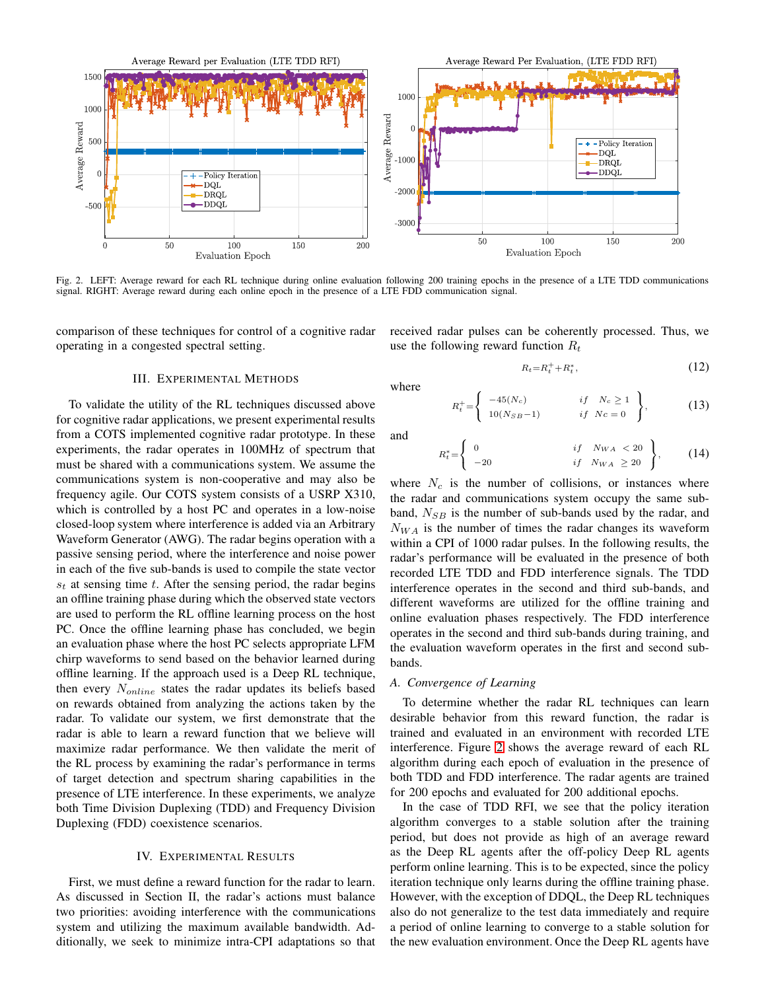

<span id="page-3-0"></span>Fig. 2. LEFT: Average reward for each RL technique during online evaluation following 200 training epochs in the presence of a LTE TDD communications signal. RIGHT: Average reward during each online epoch in the presence of a LTE FDD communication signal.

comparison of these techniques for control of a cognitive radar operating in a congested spectral setting.

# III. EXPERIMENTAL METHODS

To validate the utility of the RL techniques discussed above for cognitive radar applications, we present experimental results from a COTS implemented cognitive radar prototype. In these experiments, the radar operates in 100MHz of spectrum that must be shared with a communications system. We assume the communications system is non-cooperative and may also be frequency agile. Our COTS system consists of a USRP X310, which is controlled by a host PC and operates in a low-noise closed-loop system where interference is added via an Arbitrary Waveform Generator (AWG). The radar begins operation with a passive sensing period, where the interference and noise power in each of the five sub-bands is used to compile the state vector  $s_t$  at sensing time t. After the sensing period, the radar begins an offline training phase during which the observed state vectors are used to perform the RL offline learning process on the host PC. Once the offline learning phase has concluded, we begin an evaluation phase where the host PC selects appropriate LFM chirp waveforms to send based on the behavior learned during offline learning. If the approach used is a Deep RL technique, then every  $N_{online}$  states the radar updates its beliefs based on rewards obtained from analyzing the actions taken by the radar. To validate our system, we first demonstrate that the radar is able to learn a reward function that we believe will maximize radar performance. We then validate the merit of the RL process by examining the radar's performance in terms of target detection and spectrum sharing capabilities in the presence of LTE interference. In these experiments, we analyze both Time Division Duplexing (TDD) and Frequency Division Duplexing (FDD) coexistence scenarios.

## IV. EXPERIMENTAL RESULTS

First, we must define a reward function for the radar to learn. As discussed in Section II, the radar's actions must balance two priorities: avoiding interference with the communications system and utilizing the maximum available bandwidth. Additionally, we seek to minimize intra-CPI adaptations so that received radar pulses can be coherently processed. Thus, we use the following reward function  $R_t$ 

<span id="page-3-1"></span>
$$
R_t = R_t^+ + R_t^*,\tag{12}
$$

$$
R_t^+ = \begin{cases} -45(N_c) & \text{if } N_c \ge 1 \\ 10(N_{SB}-1) & \text{if } N_c = 0 \end{cases}, \qquad (13)
$$

and

where

$$
R_t^* = \begin{cases} 0 & \text{if } N_{WA} < 20 \\ -20 & \text{if } N_{WA} \ge 20 \end{cases}, \quad (14)
$$

where  $N_c$  is the number of collisions, or instances where the radar and communications system occupy the same subband,  $N_{SB}$  is the number of sub-bands used by the radar, and  $N_{WA}$  is the number of times the radar changes its waveform within a CPI of 1000 radar pulses. In the following results, the radar's performance will be evaluated in the presence of both recorded LTE TDD and FDD interference signals. The TDD interference operates in the second and third sub-bands, and different waveforms are utilized for the offline training and online evaluation phases respectively. The FDD interference operates in the second and third sub-bands during training, and the evaluation waveform operates in the first and second subbands.

# *A. Convergence of Learning*

To determine whether the radar RL techniques can learn desirable behavior from this reward function, the radar is trained and evaluated in an environment with recorded LTE interference. Figure [2](#page-3-0) shows the average reward of each RL algorithm during each epoch of evaluation in the presence of both TDD and FDD interference. The radar agents are trained for 200 epochs and evaluated for 200 additional epochs.

In the case of TDD RFI, we see that the policy iteration algorithm converges to a stable solution after the training period, but does not provide as high of an average reward as the Deep RL agents after the off-policy Deep RL agents perform online learning. This is to be expected, since the policy iteration technique only learns during the offline training phase. However, with the exception of DDQL, the Deep RL techniques also do not generalize to the test data immediately and require a period of online learning to converge to a stable solution for the new evaluation environment. Once the Deep RL agents have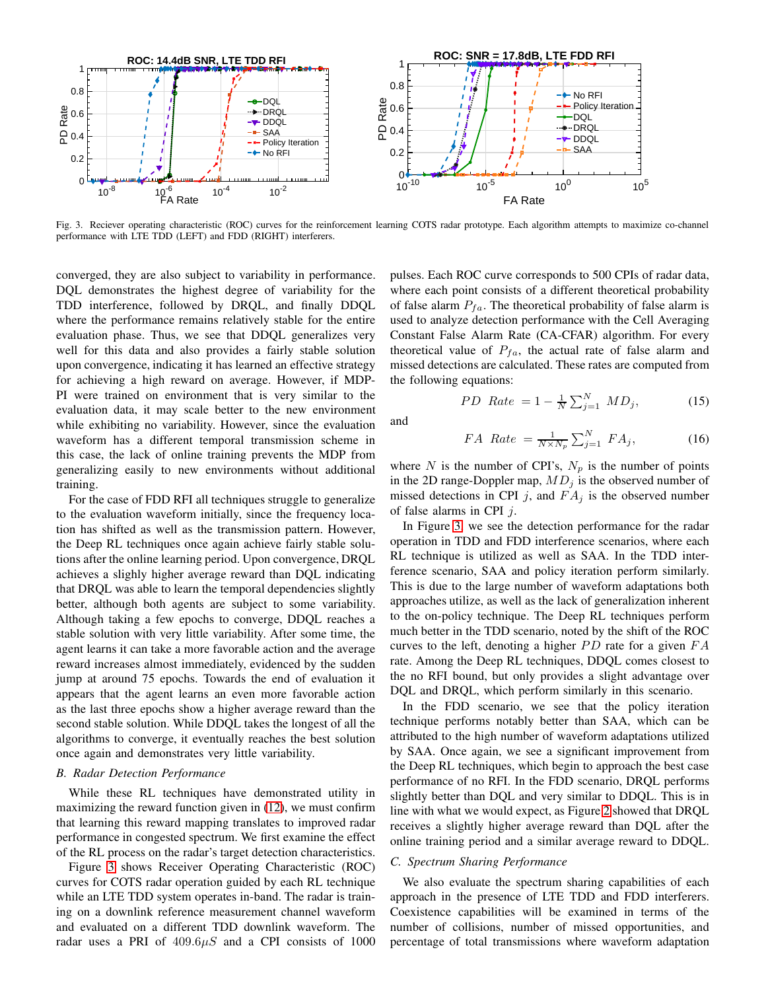

<span id="page-4-0"></span>Fig. 3. Reciever operating characteristic (ROC) curves for the reinforcement learning COTS radar prototype. Each algorithm attempts to maximize co-channel performance with LTE TDD (LEFT) and FDD (RIGHT) interferers.

converged, they are also subject to variability in performance. DQL demonstrates the highest degree of variability for the TDD interference, followed by DRQL, and finally DDQL where the performance remains relatively stable for the entire evaluation phase. Thus, we see that DDQL generalizes very well for this data and also provides a fairly stable solution upon convergence, indicating it has learned an effective strategy for achieving a high reward on average. However, if MDP-PI were trained on environment that is very similar to the evaluation data, it may scale better to the new environment while exhibiting no variability. However, since the evaluation waveform has a different temporal transmission scheme in this case, the lack of online training prevents the MDP from generalizing easily to new environments without additional training.

For the case of FDD RFI all techniques struggle to generalize to the evaluation waveform initially, since the frequency location has shifted as well as the transmission pattern. However, the Deep RL techniques once again achieve fairly stable solutions after the online learning period. Upon convergence, DRQL achieves a slighly higher average reward than DQL indicating that DRQL was able to learn the temporal dependencies slightly better, although both agents are subject to some variability. Although taking a few epochs to converge, DDQL reaches a stable solution with very little variability. After some time, the agent learns it can take a more favorable action and the average reward increases almost immediately, evidenced by the sudden jump at around 75 epochs. Towards the end of evaluation it appears that the agent learns an even more favorable action as the last three epochs show a higher average reward than the second stable solution. While DDQL takes the longest of all the algorithms to converge, it eventually reaches the best solution once again and demonstrates very little variability.

# *B. Radar Detection Performance*

While these RL techniques have demonstrated utility in maximizing the reward function given in [\(12\)](#page-3-1), we must confirm that learning this reward mapping translates to improved radar performance in congested spectrum. We first examine the effect of the RL process on the radar's target detection characteristics.

Figure [3](#page-4-0) shows Receiver Operating Characteristic (ROC) curves for COTS radar operation guided by each RL technique while an LTE TDD system operates in-band. The radar is training on a downlink reference measurement channel waveform and evaluated on a different TDD downlink waveform. The radar uses a PRI of  $409.6\mu S$  and a CPI consists of 1000 pulses. Each ROC curve corresponds to 500 CPIs of radar data, where each point consists of a different theoretical probability of false alarm  $P_{fa}$ . The theoretical probability of false alarm is used to analyze detection performance with the Cell Averaging Constant False Alarm Rate (CA-CFAR) algorithm. For every theoretical value of  $P_{fa}$ , the actual rate of false alarm and missed detections are calculated. These rates are computed from the following equations:

$$
PD \ \ Rate = 1 - \frac{1}{N} \sum_{j=1}^{N} MD_j,\tag{15}
$$

and

$$
FA \ Rate = \frac{1}{N \times N_p} \sum_{j=1}^{N} FA_j,
$$
 (16)

where N is the number of CPI's,  $N_p$  is the number of points in the 2D range-Doppler map,  $MD_j$  is the observed number of missed detections in CPI j, and  $FA_i$  is the observed number of false alarms in CPI  $j$ .

In Figure [3,](#page-4-0) we see the detection performance for the radar operation in TDD and FDD interference scenarios, where each RL technique is utilized as well as SAA. In the TDD interference scenario, SAA and policy iteration perform similarly. This is due to the large number of waveform adaptations both approaches utilize, as well as the lack of generalization inherent to the on-policy technique. The Deep RL techniques perform much better in the TDD scenario, noted by the shift of the ROC curves to the left, denoting a higher  $PD$  rate for a given  $FA$ rate. Among the Deep RL techniques, DDQL comes closest to the no RFI bound, but only provides a slight advantage over DQL and DRQL, which perform similarly in this scenario.

In the FDD scenario, we see that the policy iteration technique performs notably better than SAA, which can be attributed to the high number of waveform adaptations utilized by SAA. Once again, we see a significant improvement from the Deep RL techniques, which begin to approach the best case performance of no RFI. In the FDD scenario, DRQL performs slightly better than DQL and very similar to DDQL. This is in line with what we would expect, as Figure [2](#page-3-0) showed that DRQL receives a slightly higher average reward than DQL after the online training period and a similar average reward to DDQL.

# *C. Spectrum Sharing Performance*

We also evaluate the spectrum sharing capabilities of each approach in the presence of LTE TDD and FDD interferers. Coexistence capabilities will be examined in terms of the number of collisions, number of missed opportunities, and percentage of total transmissions where waveform adaptation